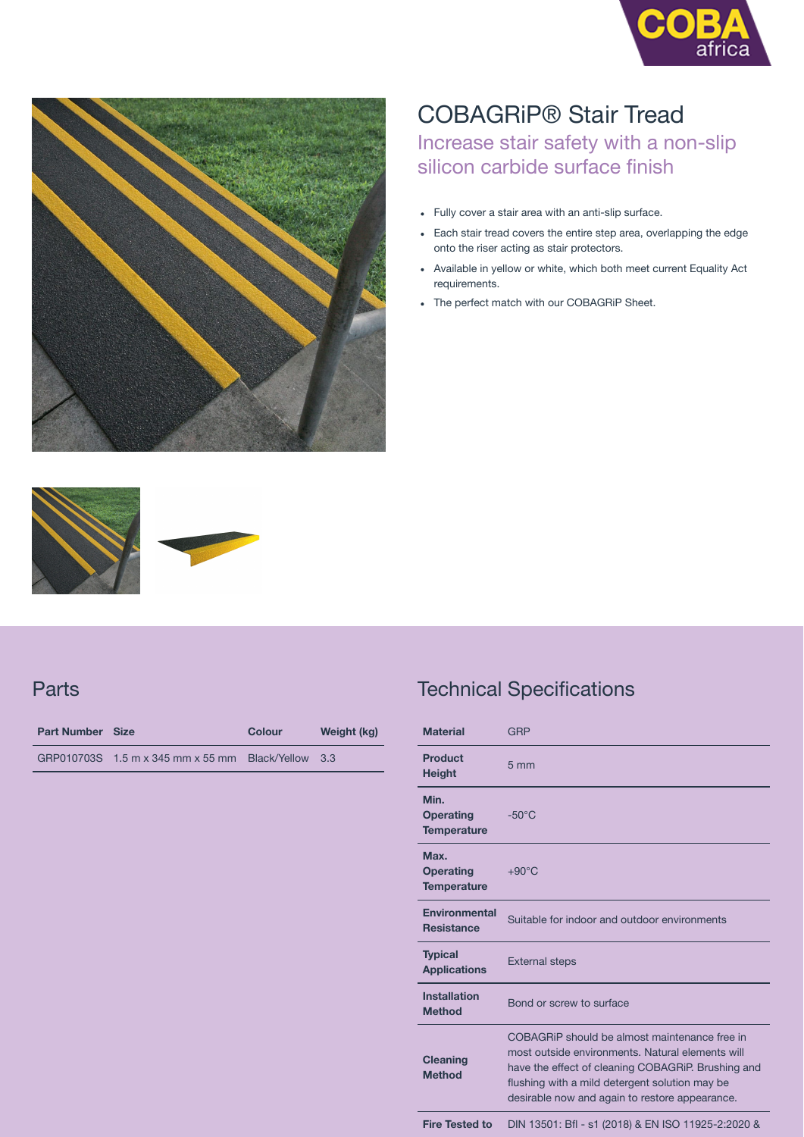



## COBAGRiP® Stair Tread

Increase stair safety with a non-slip silicon carbide surface finish

- Fully cover a stair area with an anti-slip surface.
- Each stair tread covers the entire step area, overlapping the edge onto the riser acting as stair protectors.
- Available in yellow or white, which both meet current Equality Act requirements.
- The perfect match with our COBAGRiP Sheet.





## **Parts**

| <b>Part Number Size</b> |                                                    | Colour | Weight (kg) |
|-------------------------|----------------------------------------------------|--------|-------------|
|                         | GRP010703S 1.5 m x 345 mm x 55 mm Black/Yellow 3.3 |        |             |

## Technical Specifications

| <b>Material</b>                                | <b>GRP</b>                                                                                                                                                                                                                                                  |  |
|------------------------------------------------|-------------------------------------------------------------------------------------------------------------------------------------------------------------------------------------------------------------------------------------------------------------|--|
| <b>Product</b><br><b>Height</b>                | $5 \, \text{mm}$                                                                                                                                                                                                                                            |  |
| Min.<br><b>Operating</b><br><b>Temperature</b> | $-50^{\circ}$ C                                                                                                                                                                                                                                             |  |
| Max.<br><b>Operating</b><br><b>Temperature</b> | $+90^{\circ}$ C                                                                                                                                                                                                                                             |  |
| Environmental<br><b>Resistance</b>             | Suitable for indoor and outdoor environments                                                                                                                                                                                                                |  |
| <b>Typical</b><br><b>Applications</b>          | <b>External steps</b>                                                                                                                                                                                                                                       |  |
| <b>Installation</b><br><b>Method</b>           | Bond or screw to surface                                                                                                                                                                                                                                    |  |
| <b>Cleaning</b><br><b>Method</b>               | COBAGRIP should be almost maintenance free in<br>most outside environments. Natural elements will<br>have the effect of cleaning COBAGRIP. Brushing and<br>flushing with a mild detergent solution may be<br>desirable now and again to restore appearance. |  |
|                                                |                                                                                                                                                                                                                                                             |  |